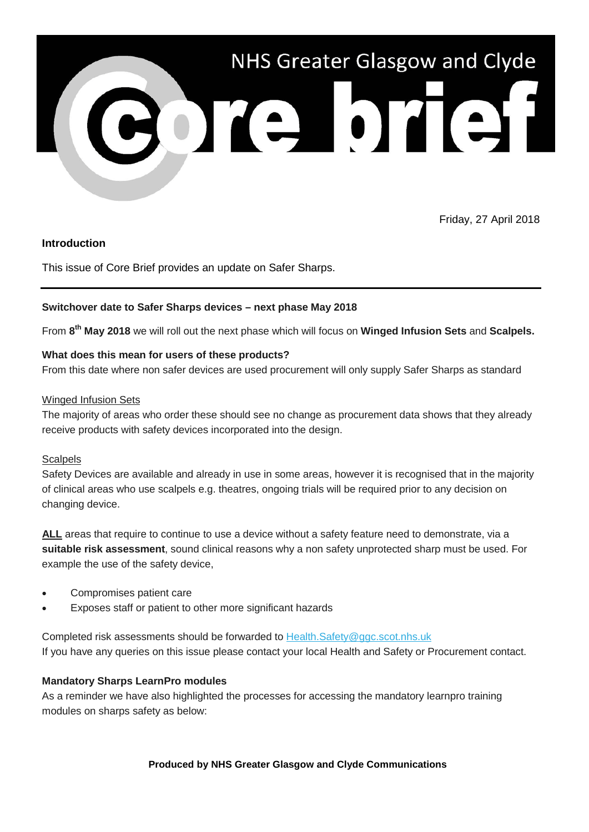

Friday, 27 April 2018

# **Introduction**

This issue of Core Brief provides an update on Safer Sharps.

## **Switchover date to Safer Sharps devices – next phase May 2018**

From **8th May 2018** we will roll out the next phase which will focus on **Winged Infusion Sets** and **Scalpels.**

## **What does this mean for users of these products?**

From this date where non safer devices are used procurement will only supply Safer Sharps as standard

## Winged Infusion Sets

The majority of areas who order these should see no change as procurement data shows that they already receive products with safety devices incorporated into the design.

#### **Scalpels**

Safety Devices are available and already in use in some areas, however it is recognised that in the majority of clinical areas who use scalpels e.g. theatres, ongoing trials will be required prior to any decision on changing device.

**ALL** areas that require to continue to use a device without a safety feature need to demonstrate, via a **suitable risk assessment**, sound clinical reasons why a non safety unprotected sharp must be used. For example the use of the safety device,

- Compromises patient care
- Exposes staff or patient to other more significant hazards

Completed risk assessments should be forwarded to [Health.Safety@ggc.scot.nhs.uk](mailto:Health.Safety@ggc.scot.nhs.uk) If you have any queries on this issue please contact your local Health and Safety or Procurement contact.

# **Mandatory Sharps LearnPro modules**

As a reminder we have also highlighted the processes for accessing the mandatory learnpro training modules on sharps safety as below: